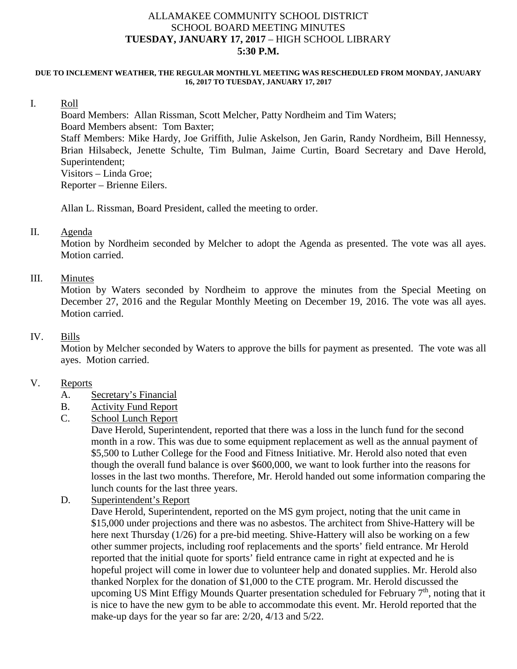## ALLAMAKEE COMMUNITY SCHOOL DISTRICT SCHOOL BOARD MEETING MINUTES **TUESDAY, JANUARY 17, 2017** – HIGH SCHOOL LIBRARY **5:30 P.M.**

#### **DUE TO INCLEMENT WEATHER, THE REGULAR MONTHLYL MEETING WAS RESCHEDULED FROM MONDAY, JANUARY 16, 2017 TO TUESDAY, JANUARY 17, 2017**

#### I. Roll

Board Members: Allan Rissman, Scott Melcher, Patty Nordheim and Tim Waters; Board Members absent: Tom Baxter; Staff Members: Mike Hardy, Joe Griffith, Julie Askelson, Jen Garin, Randy Nordheim, Bill Hennessy, Brian Hilsabeck, Jenette Schulte, Tim Bulman, Jaime Curtin, Board Secretary and Dave Herold, Superintendent; Visitors – Linda Groe; Reporter – Brienne Eilers.

Allan L. Rissman, Board President, called the meeting to order.

#### II. Agenda

Motion by Nordheim seconded by Melcher to adopt the Agenda as presented. The vote was all ayes. Motion carried.

## III. Minutes

Motion by Waters seconded by Nordheim to approve the minutes from the Special Meeting on December 27, 2016 and the Regular Monthly Meeting on December 19, 2016. The vote was all ayes. Motion carried.

#### IV. Bills

Motion by Melcher seconded by Waters to approve the bills for payment as presented. The vote was all ayes. Motion carried.

## V. Reports

#### A. Secretary's Financial

- B. Activity Fund Report
- C. School Lunch Report

Dave Herold, Superintendent, reported that there was a loss in the lunch fund for the second month in a row. This was due to some equipment replacement as well as the annual payment of \$5,500 to Luther College for the Food and Fitness Initiative. Mr. Herold also noted that even though the overall fund balance is over \$600,000, we want to look further into the reasons for losses in the last two months. Therefore, Mr. Herold handed out some information comparing the lunch counts for the last three years.

D. Superintendent's Report

Dave Herold, Superintendent, reported on the MS gym project, noting that the unit came in \$15,000 under projections and there was no asbestos. The architect from Shive-Hattery will be here next Thursday (1/26) for a pre-bid meeting. Shive-Hattery will also be working on a few other summer projects, including roof replacements and the sports' field entrance. Mr Herold reported that the initial quote for sports' field entrance came in right at expected and he is hopeful project will come in lower due to volunteer help and donated supplies. Mr. Herold also thanked Norplex for the donation of \$1,000 to the CTE program. Mr. Herold discussed the upcoming US Mint Effigy Mounds Quarter presentation scheduled for February  $7<sup>th</sup>$ , noting that it is nice to have the new gym to be able to accommodate this event. Mr. Herold reported that the make-up days for the year so far are: 2/20, 4/13 and 5/22.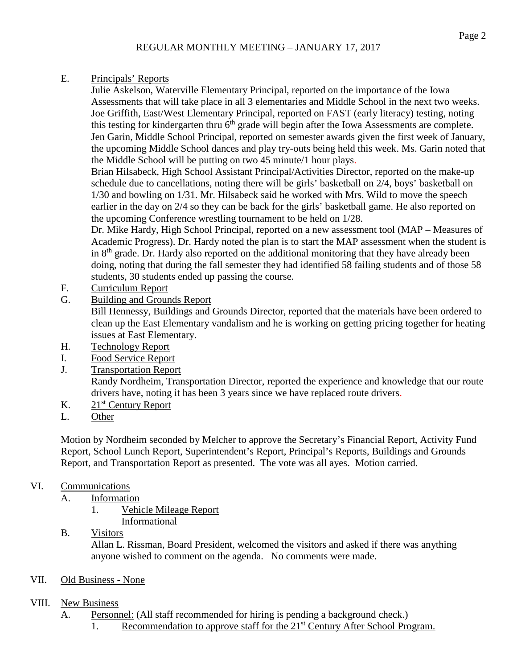## E. Principals' Reports

Julie Askelson, Waterville Elementary Principal, reported on the importance of the Iowa Assessments that will take place in all 3 elementaries and Middle School in the next two weeks. Joe Griffith, East/West Elementary Principal, reported on FAST (early literacy) testing, noting this testing for kindergarten thru 6<sup>th</sup> grade will begin after the Iowa Assessments are complete. Jen Garin, Middle School Principal, reported on semester awards given the first week of January, the upcoming Middle School dances and play try-outs being held this week. Ms. Garin noted that the Middle School will be putting on two 45 minute/1 hour plays.

Brian Hilsabeck, High School Assistant Principal/Activities Director, reported on the make-up schedule due to cancellations, noting there will be girls' basketball on 2/4, boys' basketball on 1/30 and bowling on 1/31. Mr. Hilsabeck said he worked with Mrs. Wild to move the speech earlier in the day on 2/4 so they can be back for the girls' basketball game. He also reported on the upcoming Conference wrestling tournament to be held on 1/28.

Dr. Mike Hardy, High School Principal, reported on a new assessment tool (MAP – Measures of Academic Progress). Dr. Hardy noted the plan is to start the MAP assessment when the student is in  $8<sup>th</sup>$  grade. Dr. Hardy also reported on the additional monitoring that they have already been doing, noting that during the fall semester they had identified 58 failing students and of those 58 students, 30 students ended up passing the course.

- F. Curriculum Report
- G. Building and Grounds Report

Bill Hennessy, Buildings and Grounds Director, reported that the materials have been ordered to clean up the East Elementary vandalism and he is working on getting pricing together for heating issues at East Elementary.

- H. Technology Report
- I. Food Service Report
- J. Transportation Report

Randy Nordheim, Transportation Director, reported the experience and knowledge that our route drivers have, noting it has been 3 years since we have replaced route drivers.

- K. 21<sup>st</sup> Century Report
- L. Other

Motion by Nordheim seconded by Melcher to approve the Secretary's Financial Report, Activity Fund Report, School Lunch Report, Superintendent's Report, Principal's Reports, Buildings and Grounds Report, and Transportation Report as presented. The vote was all ayes. Motion carried.

# VI. Communications

- A. Information
	- 1. Vehicle Mileage Report Informational
- B. Visitors

Allan L. Rissman, Board President, welcomed the visitors and asked if there was anything anyone wished to comment on the agenda. No comments were made.

VII. Old Business - None

## VIII. New Business

- A. Personnel: (All staff recommended for hiring is pending a background check.)
	- 1. Recommendation to approve staff for the 21<sup>st</sup> Century After School Program.